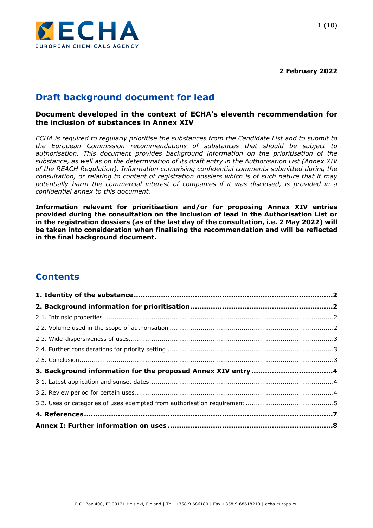

**2 February 2022**

# **Draft background document for lead**

### **Document developed in the context of ECHA's eleventh recommendation for the inclusion of substances in Annex XIV**

*ECHA is required to regularly prioritise the substances from the Candidate List and to submit to the European Commission recommendations of substances that should be subject to authorisation. This document provides background information on the prioritisation of the substance, as well as on the determination of its draft entry in the Authorisation List (Annex XIV of the REACH Regulation). Information comprising confidential comments submitted during the consultation, or relating to content of registration dossiers which is of such nature that it may potentially harm the commercial interest of companies if it was disclosed, is provided in a confidential annex to this document.*

**Information relevant for prioritisation and/or for proposing Annex XIV entries provided during the consultation on the inclusion of lead in the Authorisation List or in the registration dossiers (as of the last day of the consultation, i.e. 2 May 2022) will be taken into consideration when finalising the recommendation and will be reflected in the final background document.**

# **Contents**

| 3. Background information for the proposed Annex XIV entry 4 |  |
|--------------------------------------------------------------|--|
|                                                              |  |
|                                                              |  |
|                                                              |  |
|                                                              |  |
|                                                              |  |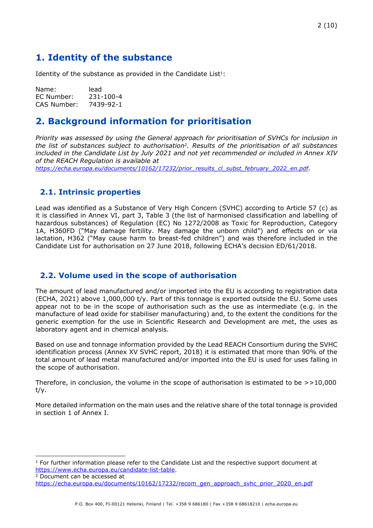# <span id="page-1-0"></span>**1. Identity of the substance**

Identity of the substance as provided in the Candidate List $1$ :

Name: lead EC Number: 231-100-4 CAS Number: 7439-92-1

# <span id="page-1-1"></span>**2. Background information for prioritisation**

*Priority was assessed by using the General approach for prioritisation of SVHCs for inclusion in the list of substances subject to authorisation2. Results of the prioritisation of all substances included in the Candidate List by July 2021 and not yet recommended or included in Annex XIV of the REACH Regulation is available at* 

*[https://echa.europa.eu/documents/10162/17232/prior\\_results\\_cl\\_subst\\_february\\_2022\\_en.pdf](https://echa.europa.eu/documents/10162/17232/prior_results_cl_subst_february_2022_en.pdf).*

### <span id="page-1-2"></span>**2.1. Intrinsic properties**

Lead was identified as a Substance of Very High Concern (SVHC) according to Article 57 (c) as it is classified in Annex VI, part 3, Table 3 (the list of harmonised classification and labelling of hazardous substances) of Regulation (EC) No 1272/2008 as Toxic for Reproduction, Category 1A, H360FD ("May damage fertility. May damage the unborn child") and effects on or via lactation, H362 ("May cause harm to breast-fed children") and was therefore included in the Candidate List for authorisation on 27 June 2018, following ECHA's decision ED/61/2018.

### <span id="page-1-3"></span>**2.2. Volume used in the scope of authorisation**

The amount of lead manufactured and/or imported into the EU is according to registration data (ECHA, 2021) above 1,000,000 t/y. Part of this tonnage is exported outside the EU. Some uses appear not to be in the scope of authorisation such as the use as intermediate (e.g. in the manufacture of lead oxide for stabiliser manufacturing) and, to the extent the conditions for the generic exemption for the use in Scientific Research and Development are met, the uses as laboratory agent and in chemical analysis.

Based on use and tonnage information provided by the Lead REACH Consortium during the SVHC identification process (Annex XV SVHC report, 2018) it is estimated that more than 90% of the total amount of lead metal manufactured and/or imported into the EU is used for uses falling in the scope of authorisation.

Therefore, in conclusion, the volume in the scope of authorisation is estimated to be  $>>10,000$ t/y.

More detailed information on the main uses and the relative share of the total tonnage is provided in section 1 of Annex I.

 $1$  For further information please refer to the Candidate List and the respective support document at <https://www.echa.europa.eu/candidate-list-table>.

<sup>2</sup> Document can be accessed at [https://echa.europa.eu/documents/10162/17232/recom\\_gen\\_approach\\_svhc\\_prior\\_2020\\_en.pdf](https://echa.europa.eu/documents/10162/17232/recom_gen_approach_svhc_prior_2020_en.pdf)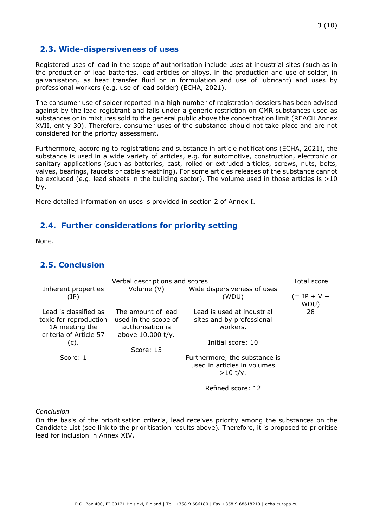## <span id="page-2-0"></span>**2.3. Wide-dispersiveness of uses**

Registered uses of lead in the scope of authorisation include uses at industrial sites (such as in the production of lead batteries, lead articles or alloys, in the production and use of solder, in galvanisation, as heat transfer fluid or in formulation and use of lubricant) and uses by professional workers (e.g. use of lead solder) (ECHA, 2021).

The consumer use of solder reported in a high number of registration dossiers has been advised against by the lead registrant and falls under a generic restriction on CMR substances used as substances or in mixtures sold to the general public above the concentration limit (REACH Annex XVII, entry 30). Therefore, consumer uses of the substance should not take place and are not considered for the priority assessment.

Furthermore, according to registrations and substance in article notifications (ECHA, 2021), the substance is used in a wide variety of articles, e.g. for automotive, construction, electronic or sanitary applications (such as batteries, cast, rolled or extruded articles, screws, nuts, bolts, valves, bearings, faucets or cable sheathing). For some articles releases of the substance cannot be excluded (e.g. lead sheets in the building sector). The volume used in those articles is  $>10$ t/y.

More detailed information on uses is provided in section 2 of Annex I.

## <span id="page-2-1"></span>**2.4. Further considerations for priority setting**

None.

## <span id="page-2-2"></span>**2.5. Conclusion**

| Verbal descriptions and scores |                      |                               | Total score   |
|--------------------------------|----------------------|-------------------------------|---------------|
| Inherent properties            | Volume (V)           | Wide dispersiveness of uses   |               |
| (IP)                           |                      | (WDU)                         | $(= IP + V +$ |
|                                |                      |                               | WDU)          |
| Lead is classified as          | The amount of lead   | Lead is used at industrial    | 28            |
| toxic for reproduction         | used in the scope of | sites and by professional     |               |
| 1A meeting the                 | authorisation is     | workers.                      |               |
| criteria of Article 57         | above 10,000 t/y.    |                               |               |
| (c).                           |                      | Initial score: 10             |               |
|                                | Score: 15            |                               |               |
| Score: 1                       |                      | Furthermore, the substance is |               |
|                                |                      | used in articles in volumes   |               |
|                                |                      | $>10$ t/y.                    |               |
|                                |                      |                               |               |
|                                |                      | Refined score: 12             |               |

#### *Conclusion*

On the basis of the prioritisation criteria, lead receives priority among the substances on the Candidate List (see link to the prioritisation results above)*.* Therefore, it is proposed to prioritise lead for inclusion in Annex XIV.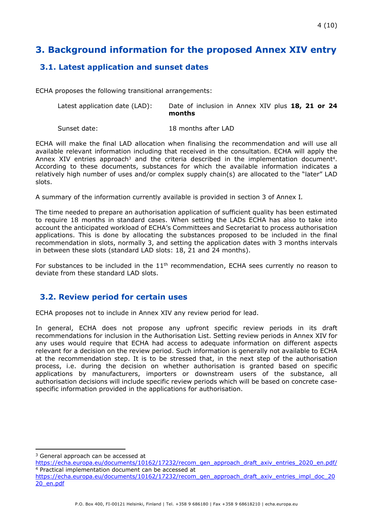# <span id="page-3-0"></span>**3. Background information for the proposed Annex XIV entry**

# <span id="page-3-1"></span>**3.1. Latest application and sunset dates**

ECHA proposes the following transitional arrangements:

| Latest application date (LAD): | Date of inclusion in Annex XIV plus 18, 21 or 24 |
|--------------------------------|--------------------------------------------------|
|                                | months                                           |

Sunset date: 18 months after LAD

ECHA will make the final LAD allocation when finalising the recommendation and will use all available relevant information including that received in the consultation. ECHA will apply the Annex XIV entries approach<sup>3</sup> and the criteria described in the implementation document<sup>4</sup>. According to these documents, substances for which the available information indicates a relatively high number of uses and/or complex supply chain(s) are allocated to the "later" LAD slots.

A summary of the information currently available is provided in section 3 of Annex I*.* 

The time needed to prepare an authorisation application of sufficient quality has been estimated to require 18 months in standard cases. When setting the LADs ECHA has also to take into account the anticipated workload of ECHA's Committees and Secretariat to process authorisation applications. This is done by allocating the substances proposed to be included in the final recommendation in slots, normally 3, and setting the application dates with 3 months intervals in between these slots (standard LAD slots: 18, 21 and 24 months).

For substances to be included in the  $11<sup>th</sup>$  recommendation, ECHA sees currently no reason to deviate from these standard LAD slots.

# <span id="page-3-2"></span>**3.2. Review period for certain uses**

ECHA proposes not to include in Annex XIV any review period for lead.

In general, ECHA does not propose any upfront specific review periods in its draft recommendations for inclusion in the Authorisation List. Setting review periods in Annex XIV for any uses would require that ECHA had access to adequate information on different aspects relevant for a decision on the review period. Such information is generally not available to ECHA at the recommendation step. It is to be stressed that, in the next step of the authorisation process, i.e. during the decision on whether authorisation is granted based on specific applications by manufacturers, importers or downstream users of the substance, all authorisation decisions will include specific review periods which will be based on concrete casespecific information provided in the applications for authorisation.

<sup>&</sup>lt;sup>3</sup> General approach can be accessed at

[https://echa.europa.eu/documents/10162/17232/recom\\_gen\\_approach\\_draft\\_axiv\\_entries\\_2020\\_en.pdf/](https://echa.europa.eu/documents/10162/17232/recom_gen_approach_draft_axiv_entries_2020_en.pdf/) <sup>4</sup> Practical implementation document can be accessed at

[https://echa.europa.eu/documents/10162/17232/recom\\_gen\\_approach\\_draft\\_axiv\\_entries\\_impl\\_doc\\_20](https://echa.europa.eu/documents/10162/17232/recom_gen_approach_draft_axiv_entries_impl_doc_2020_en.pdf) [20\\_en.pdf](https://echa.europa.eu/documents/10162/17232/recom_gen_approach_draft_axiv_entries_impl_doc_2020_en.pdf)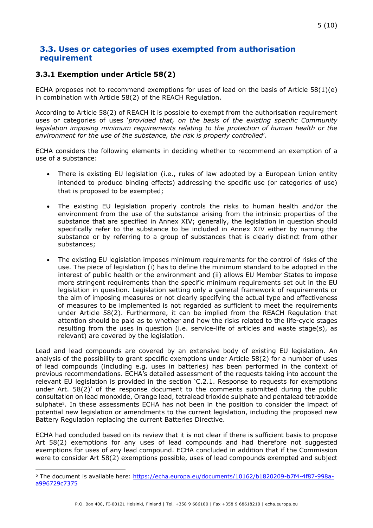### <span id="page-4-0"></span>**3.3. Uses or categories of uses exempted from authorisation requirement**

#### **3.3.1 Exemption under Article 58(2)**

ECHA proposes not to recommend exemptions for uses of lead on the basis of Article 58(1)(e) in combination with Article 58(2) of the REACH Regulation.

According to Article 58(2) of REACH it is possible to exempt from the authorisation requirement uses or categories of uses '*provided that, on the basis of the existing specific Community legislation imposing minimum requirements relating to the protection of human health or the environment for the use of the substance, the risk is properly controlled*'.

ECHA considers the following elements in deciding whether to recommend an exemption of a use of a substance:

- There is existing EU legislation (i.e., rules of law adopted by a European Union entity intended to produce binding effects) addressing the specific use (or categories of use) that is proposed to be exempted;
- The existing EU legislation properly controls the risks to human health and/or the environment from the use of the substance arising from the intrinsic properties of the substance that are specified in Annex XIV; generally, the legislation in question should specifically refer to the substance to be included in Annex XIV either by naming the substance or by referring to a group of substances that is clearly distinct from other substances;
- The existing EU legislation imposes minimum requirements for the control of risks of the use. The piece of legislation (i) has to define the minimum standard to be adopted in the interest of public health or the environment and (ii) allows EU Member States to impose more stringent requirements than the specific minimum requirements set out in the EU legislation in question. Legislation setting only a general framework of requirements or the aim of imposing measures or not clearly specifying the actual type and effectiveness of measures to be implemented is not regarded as sufficient to meet the requirements under Article 58(2). Furthermore, it can be implied from the REACH Regulation that attention should be paid as to whether and how the risks related to the life-cycle stages resulting from the uses in question (i.e. service-life of articles and waste stage(s), as relevant) are covered by the legislation.

Lead and lead compounds are covered by an extensive body of existing EU legislation. An analysis of the possibility to grant specific exemptions under Article 58(2) for a number of uses of lead compounds (including e.g. uses in batteries) has been performed in the context of previous recommendations. ECHA's detailed assessment of the requests taking into account the relevant EU legislation is provided in the section 'C.2.1. Response to requests for exemptions under Art. 58(2)' of the response document to the comments submitted during the public consultation on lead monoxide, Orange lead, tetralead trioxide sulphate and pentalead tetraoxide sulphate<sup>5</sup>. In these assessments ECHA has not been in the position to consider the impact of potential new legislation or amendments to the current legislation, including the proposed new Battery Regulation replacing the current Batteries Directive.

ECHA had concluded based on its review that it is not clear if there is sufficient basis to propose Art 58(2) exemptions for any uses of lead compounds and had therefore not suggested exemptions for uses of any lead compound. ECHA concluded in addition that if the Commission were to consider Art 58(2) exemptions possible, uses of lead compounds exempted and subject

<sup>5</sup> The document is available here: [https://echa.europa.eu/documents/10162/b1820209-b7f4-4f87-998a](https://echa.europa.eu/documents/10162/b1820209-b7f4-4f87-998a-a996729c7375)[a996729c7375](https://echa.europa.eu/documents/10162/b1820209-b7f4-4f87-998a-a996729c7375)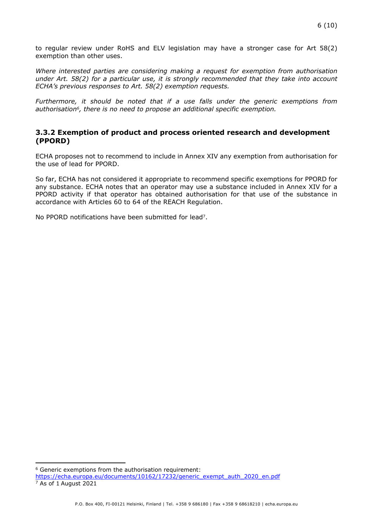to regular review under RoHS and ELV legislation may have a stronger case for Art 58(2) exemption than other uses.

*Where interested parties are considering making a request for exemption from authorisation under Art. 58(2) for a particular use, it is strongly recommended that they take into account ECHA's previous responses to Art. 58(2) exemption requests.* 

*Furthermore, it should be noted that if a use falls under the generic exemptions from authorisation6, there is no need to propose an additional specific exemption.*

#### **3.3.2 Exemption of product and process oriented research and development (PPORD)**

ECHA proposes not to recommend to include in Annex XIV any exemption from authorisation for the use of lead for PPORD.

So far, ECHA has not considered it appropriate to recommend specific exemptions for PPORD for any substance. ECHA notes that an operator may use a substance included in Annex XIV for a PPORD activity if that operator has obtained authorisation for that use of the substance in accordance with Articles 60 to 64 of the REACH Regulation.

No PPORD notifications have been submitted for lead7.

<sup>6</sup> Generic exemptions from the authorisation requirement: [https://echa.europa.eu/documents/10162/17232/generic\\_exempt\\_auth\\_2020\\_en.pdf](https://echa.europa.eu/documents/10162/17232/generic_exempt_auth_2020_en.pdf) <sup>7</sup> As of 1 August 2021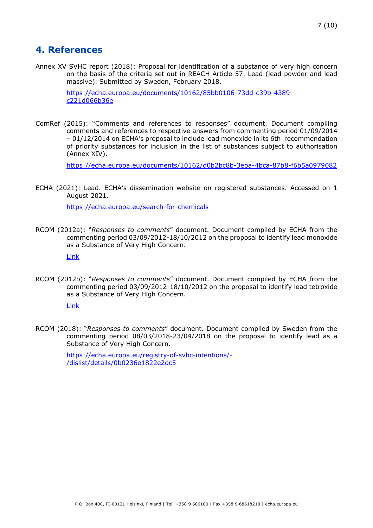# <span id="page-6-0"></span>**4. References**

Annex XV SVHC report (2018): Proposal for identification of a substance of very high concern on the basis of the criteria set out in REACH Article 57. Lead (lead powder and lead massive). Submitted by Sweden, February 2018.

> [https://echa.europa.eu/documents/10162/85bb0106-73dd-c39b-4389](https://echa.europa.eu/documents/10162/85bb0106-73dd-c39b-4389-c221d066b36e) [c221d066b36e](https://echa.europa.eu/documents/10162/85bb0106-73dd-c39b-4389-c221d066b36e)

ComRef (2015): "Comments and references to responses" document. Document compiling comments and references to respective answers from commenting period 01/09/2014 – 01/12/2014 on ECHA's proposal to include lead monoxide in its 6th recommendation of priority substances for inclusion in the list of substances subject to authorisation (Annex XIV).

<https://echa.europa.eu/documents/10162/d0b2bc8b-3eba-4bca-87b8-f6b5a0979082>

ECHA (2021): Lead. ECHA's dissemination website on registered substances. Accessed on 1 August 2021.

<https://echa.europa.eu/search-for-chemicals>

RCOM (2012a): "*Responses to comments*" document. Document compiled by ECHA from the commenting period 03/09/2012-18/10/2012 on the proposal to identify lead monoxide as a Substance of Very High Concern.

[Link](https://echa.europa.eu/registry-of-svhc-intentions/-/dislist/details/0b0236e1822e2dc5)

RCOM (2012b): "*Responses to comments*" document. Document compiled by ECHA from the commenting period 03/09/2012-18/10/2012 on the proposal to identify lead tetroxide as a Substance of Very High Concern.

[Link](https://echa.europa.eu/registry-of-svhc-intentions/-/dislist/details/0b0236e1822e2dc5)

RCOM (2018): "*Responses to comments*" document. Document compiled by Sweden from the commenting period 08/03/2018-23/04/2018 on the proposal to identify lead as a Substance of Very High Concern.

> [https://echa.europa.eu/registry-of-svhc-intentions/-](https://echa.europa.eu/registry-of-svhc-intentions/-/dislist/details/0b0236e1822e2dc5) [/dislist/details/0b0236e1822e2dc5](https://echa.europa.eu/registry-of-svhc-intentions/-/dislist/details/0b0236e1822e2dc5)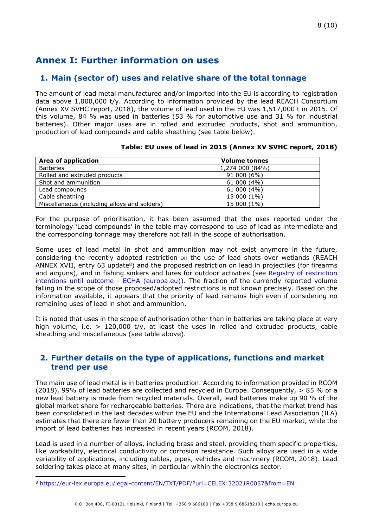# <span id="page-7-0"></span>**Annex I: Further information on uses**

### **1. Main (sector of) uses and relative share of the total tonnage**

The amount of lead metal manufactured and/or imported into the EU is according to registration data above 1,000,000 t/y. According to information provided by the lead REACH Consortium (Annex XV SVHC report, 2018), the volume of lead used in the EU was 1,517,000 t in 2015. Of this volume, 84 % was used in batteries (53 % for automotive use and 31 % for industrial batteries). Other major uses are in rolled and extruded products, shot and ammunition, production of lead compounds and cable sheathing (see table below).

| Area of application                          | <b>Volume tonnes</b> |
|----------------------------------------------|----------------------|
| <b>Batteries</b>                             | 1,274 000 (84%)      |
| Rolled and extruded products                 | 91 000 (6%)          |
| Shot and ammunition                          | 61 000 (4%)          |
| Lead compounds                               | 61 000 (4%)          |
| Cable sheathing                              | 15 000 (1%)          |
| Miscellaneous (including alloys and solders) | 15 000 (1%)          |

#### **Table: EU uses of lead in 2015 (Annex XV SVHC report, 2018)**

For the purpose of prioritisation, it has been assumed that the uses reported under the terminology 'Lead compounds' in the table may correspond to use of lead as intermediate and the corresponding tonnage may therefore not fall in the scope of authorisation.

Some uses of lead metal in shot and ammunition may not exist anymore in the future, considering the recently adopted restriction on the use of lead shots over wetlands (REACH ANNEX XVII, entry 63 update<sup>8</sup>) and the proposed restriction on lead in projectiles (for firearms and airguns), and in fishing sinkers and lures for outdoor activities (see [Registry of restriction](https://echa.europa.eu/registry-of-restriction-intentions)  [intentions until outcome - ECHA \(europa.eu\)\)](https://echa.europa.eu/registry-of-restriction-intentions). The fraction of the currently reported volume falling in the scope of those proposed/adopted restrictions is not known precisely. Based on the information available, it appears that the priority of lead remains high even if considering no remaining uses of lead in shot and ammunition.

It is noted that uses in the scope of authorisation other than in batteries are taking place at very high volume, i.e. > 120,000 t/y, at least the uses in rolled and extruded products, cable sheathing and miscellaneous (see table above).

### **2. Further details on the type of applications, functions and market trend per use**

The main use of lead metal is in batteries production. According to information provided in RCOM (2018), 99% of lead batteries are collected and recycled in Europe. Consequently,  $> 85$  % of a new lead battery is made from recycled materials. Overall, lead batteries make up 90 % of the global market share for rechargeable batteries. There are indications, that the market trend has been consolidated in the last decades within the EU and the International Lead Association (ILA) estimates that there are fewer than 20 battery producers remaining on the EU market, while the import of lead batteries has increased in recent years (RCOM, 2018).

Lead is used in a number of alloys, including brass and steel, providing them specific properties, like workability, electrical conductivity or corrosion resistance. Such alloys are used in a wide variability of applications, including cables, pipes, vehicles and machinery (RCOM, 2018). Lead soldering takes place at many sites, in particular within the electronics sector.

<sup>8</sup> <https://eur-lex.europa.eu/legal-content/EN/TXT/PDF/?uri=CELEX:32021R0057&from=EN>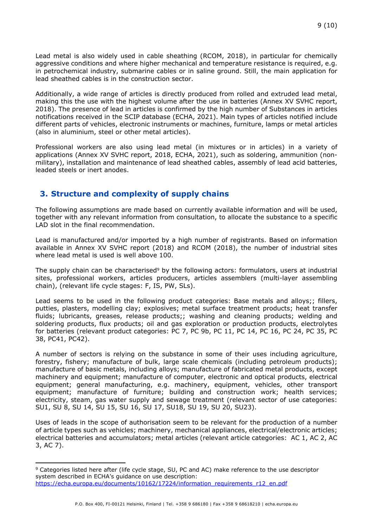Lead metal is also widely used in cable sheathing (RCOM, 2018), in particular for chemically aggressive conditions and where higher mechanical and temperature resistance is required, e.g. in petrochemical industry, submarine cables or in saline ground. Still, the main application for lead sheathed cables is in the construction sector.

Additionally, a wide range of articles is directly produced from rolled and extruded lead metal, making this the use with the highest volume after the use in batteries (Annex XV SVHC report, 2018). The presence of lead in articles is confirmed by the high number of Substances in articles notifications received in the SCIP database (ECHA, 2021). Main types of articles notified include different parts of vehicles, electronic instruments or machines, furniture, lamps or metal articles (also in aluminium, steel or other metal articles).

Professional workers are also using lead metal (in mixtures or in articles) in a variety of applications (Annex XV SVHC report, 2018, ECHA, 2021), such as soldering, ammunition (nonmilitary), installation and maintenance of lead sheathed cables, assembly of lead acid batteries, leaded steels or inert anodes.

## **3. Structure and complexity of supply chains**

The following assumptions are made based on currently available information and will be used, together with any relevant information from consultation, to allocate the substance to a specific LAD slot in the final recommendation.

Lead is manufactured and/or imported by a high number of registrants. Based on information available in Annex XV SVHC report (2018) and RCOM (2018), the number of industrial sites where lead metal is used is well above 100.

The supply chain can be characterised<sup>9</sup> by the following actors: formulators, users at industrial sites, professional workers, articles producers, articles assemblers (multi-layer assembling chain), (relevant life cycle stages: F, IS, PW, SLs).

Lead seems to be used in the following product categories: Base metals and alloys;; fillers, putties, plasters, modelling clay; explosives; metal surface treatment products; heat transfer fluids; lubricants, greases, release products;; washing and cleaning products; welding and soldering products, flux products; oil and gas exploration or production products, electrolytes for batteries (relevant product categories: PC 7, PC 9b, PC 11, PC 14, PC 16, PC 24, PC 35, PC 38, PC41, PC42).

A number of sectors is relying on the substance in some of their uses including agriculture, forestry, fishery; manufacture of bulk, large scale chemicals (including petroleum products); manufacture of basic metals, including alloys; manufacture of fabricated metal products, except machinery and equipment; manufacture of computer, electronic and optical products, electrical equipment; general manufacturing, e.g. machinery, equipment, vehicles, other transport equipment; manufacture of furniture; building and construction work; health services; electricity, steam, gas water supply and sewage treatment (relevant sector of use categories: SU1, SU 8, SU 14, SU 15, SU 16, SU 17, SU18, SU 19, SU 20, SU23).

Uses of leads in the scope of authorisation seem to be relevant for the production of a number of article types such as vehicles; machinery, mechanical appliances, electrical/electronic articles; electrical batteries and accumulators; metal articles (relevant article categories: AC 1, AC 2, AC 3, AC 7).

<sup>9</sup> Categories listed here after (life cycle stage, SU, PC and AC) make reference to the use descriptor system described in ECHA's guidance on use description: https://echa.europa.eu/documents/10162/17224/information\_requirements\_r12\_en.pdf